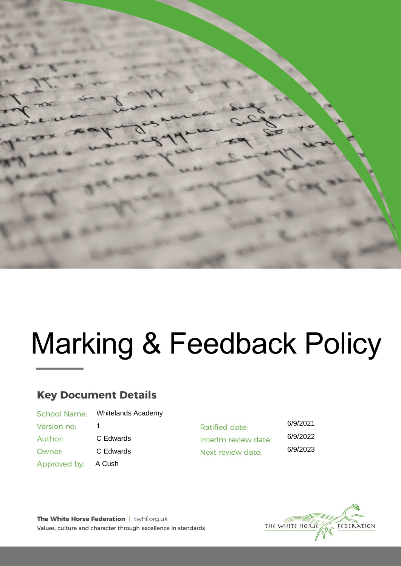

# Marking & Feedback Policy

# **Key Document Details**

| <b>School Name:</b> | <b>Whitelands Academy</b> |
|---------------------|---------------------------|
| Version no:         | 1                         |
| Author:             | C Edwards                 |
| Owner:              | C Edwards                 |
| Approved by:        | A Cush                    |
|                     |                           |

6/9/2021 Ratified date: 6/9/2022 Interim review date 6/9/2023 Next review date:



The White Horse Federation | twhf.org.uk Values, culture and character through excellence in standards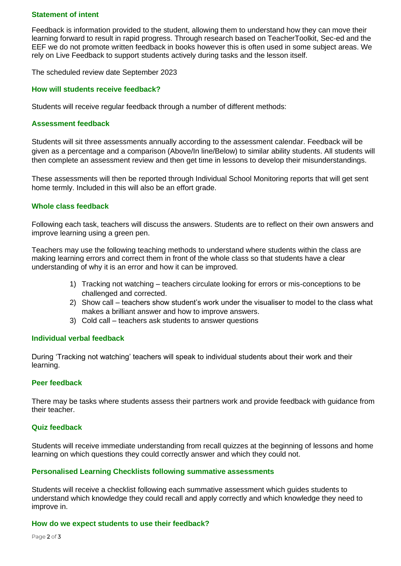# **Statement of intent**

Feedback is information provided to the student, allowing them to understand how they can move their learning forward to result in rapid progress. Through research based on TeacherToolkit, Sec-ed and the EEF we do not promote written feedback in books however this is often used in some subject areas. We rely on Live Feedback to support students actively during tasks and the lesson itself.

The scheduled review date September 2023

# **How will students receive feedback?**

Students will receive regular feedback through a number of different methods:

#### **Assessment feedback**

Students will sit three assessments annually according to the assessment calendar. Feedback will be given as a percentage and a comparison (Above/In line/Below) to similar ability students. All students will then complete an assessment review and then get time in lessons to develop their misunderstandings.

These assessments will then be reported through Individual School Monitoring reports that will get sent home termly. Included in this will also be an effort grade.

# **Whole class feedback**

Following each task, teachers will discuss the answers. Students are to reflect on their own answers and improve learning using a green pen.

Teachers may use the following teaching methods to understand where students within the class are making learning errors and correct them in front of the whole class so that students have a clear understanding of why it is an error and how it can be improved.

- 1) Tracking not watching teachers circulate looking for errors or mis-conceptions to be challenged and corrected.
- 2) Show call teachers show student's work under the visualiser to model to the class what makes a brilliant answer and how to improve answers.
- 3) Cold call teachers ask students to answer questions

#### **Individual verbal feedback**

During 'Tracking not watching' teachers will speak to individual students about their work and their learning.

#### **Peer feedback**

There may be tasks where students assess their partners work and provide feedback with guidance from their teacher.

#### **Quiz feedback**

Students will receive immediate understanding from recall quizzes at the beginning of lessons and home learning on which questions they could correctly answer and which they could not.

#### **Personalised Learning Checklists following summative assessments**

Students will receive a checklist following each summative assessment which guides students to understand which knowledge they could recall and apply correctly and which knowledge they need to improve in.

#### **How do we expect students to use their feedback?**